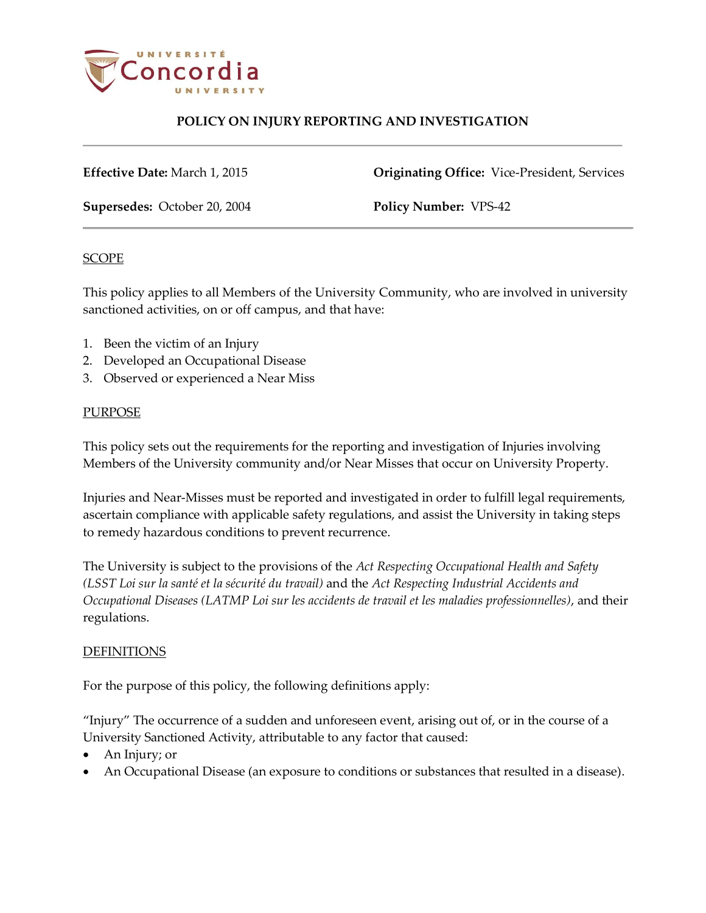

**Effective Date:** March 1, 2015 **Originating Office:** Vice-President, Services

**Supersedes:** October 20, 2004 **Policy Number:** VPS-42

#### SCOPE

This policy applies to all Members of the University Community, who are involved in university sanctioned activities, on or off campus, and that have:

- 1. Been the victim of an Injury
- 2. Developed an Occupational Disease
- 3. Observed or experienced a Near Miss

#### PURPOSE

This policy sets out the requirements for the reporting and investigation of Injuries involving Members of the University community and/or Near Misses that occur on University Property.

Injuries and Near-Misses must be reported and investigated in order to fulfill legal requirements, ascertain compliance with applicable safety regulations, and assist the University in taking steps to remedy hazardous conditions to prevent recurrence.

The University is subject to the provisions of the *Act Respecting Occupational Health and Safety (LSST Loi sur la santé et la sécurité du travail)* and the *Act Respecting Industrial Accidents and Occupational Diseases (LATMP Loi sur les accidents de travail et les maladies professionnelles)*, and their regulations.

### **DEFINITIONS**

For the purpose of this policy, the following definitions apply:

"Injury" The occurrence of a sudden and unforeseen event, arising out of, or in the course of a University Sanctioned Activity, attributable to any factor that caused:

- An Injury; or
- An Occupational Disease (an exposure to conditions or substances that resulted in a disease).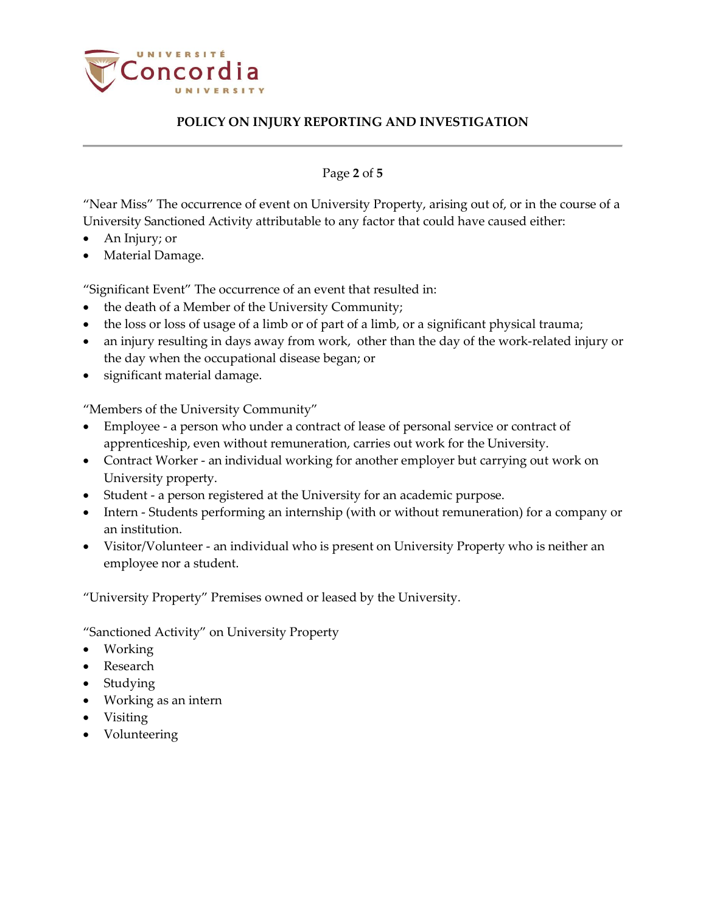

Page **2** of **5**

"Near Miss" The occurrence of event on University Property, arising out of, or in the course of a University Sanctioned Activity attributable to any factor that could have caused either:

- An Injury; or
- Material Damage.

"Significant Event" The occurrence of an event that resulted in:

- the death of a Member of the University Community;
- the loss or loss of usage of a limb or of part of a limb, or a significant physical trauma;
- an injury resulting in days away from work, other than the day of the work-related injury or the day when the occupational disease began; or
- significant material damage.

"Members of the University Community"

- Employee a person who under a contract of lease of personal service or contract of apprenticeship, even without remuneration, carries out work for the University.
- Contract Worker an individual working for another employer but carrying out work on University property.
- Student a person registered at the University for an academic purpose.
- Intern Students performing an internship (with or without remuneration) for a company or an institution.
- Visitor/Volunteer an individual who is present on University Property who is neither an employee nor a student.

"University Property" Premises owned or leased by the University.

"Sanctioned Activity" on University Property

- Working
- Research
- Studying
- Working as an intern
- Visiting
- Volunteering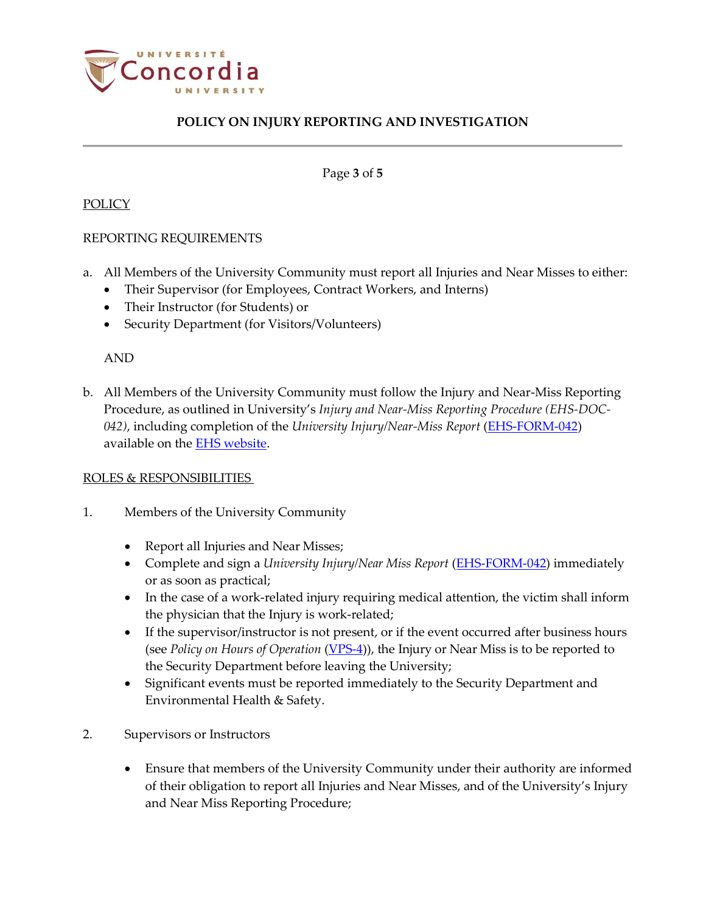

Page **3** of **5**

#### POLICY

### REPORTING REQUIREMENTS

- a. All Members of the University Community must report all Injuries and Near Misses to either:
	- Their Supervisor (for Employees, Contract Workers, and Interns)
	- Their Instructor (for Students) or
	- Security Department (for Visitors/Volunteers)

AND

b. All Members of the University Community must follow the Injury and Near-Miss Reporting Procedure, as outlined in University's *Injury and Near-Miss Reporting Procedure (EHS-DOC-042)*, including completion of the *University Injury/Near-Miss Report* [\(EHS-FORM-042\)](http://www.concordia.ca/content/dam/concordia/services/safety/docs/EHS-DOC-042-Procedure_for_Injury_Near-MissReporting.pdf) available on the **EHS** website.

### ROLES & RESPONSIBILITIES

- 1. Members of the University Community
	- Report all Injuries and Near Misses;
	- Complete and sign a *University Injury/Near Miss Report* [\(EHS-FORM-042\)](http://www.concordia.ca/content/dam/concordia/services/safety/docs/EHS-DOC-042-Procedure_for_Injury_Near-MissReporting.pdf) immediately or as soon as practical;
	- In the case of a work-related injury requiring medical attention, the victim shall inform the physician that the Injury is work-related;
	- If the supervisor/instructor is not present, or if the event occurred after business hours (see *Policy on Hours of Operation* [\(VPS-4\)](http://www.concordia.ca/content/dam/common/docs/policies/official-policies/VPS-4.pdf)), the Injury or Near Miss is to be reported to the Security Department before leaving the University;
	- Significant events must be reported immediately to the Security Department and Environmental Health & Safety.
- 2. Supervisors or Instructors
	- Ensure that members of the University Community under their authority are informed of their obligation to report all Injuries and Near Misses, and of the University's Injury and Near Miss Reporting Procedure;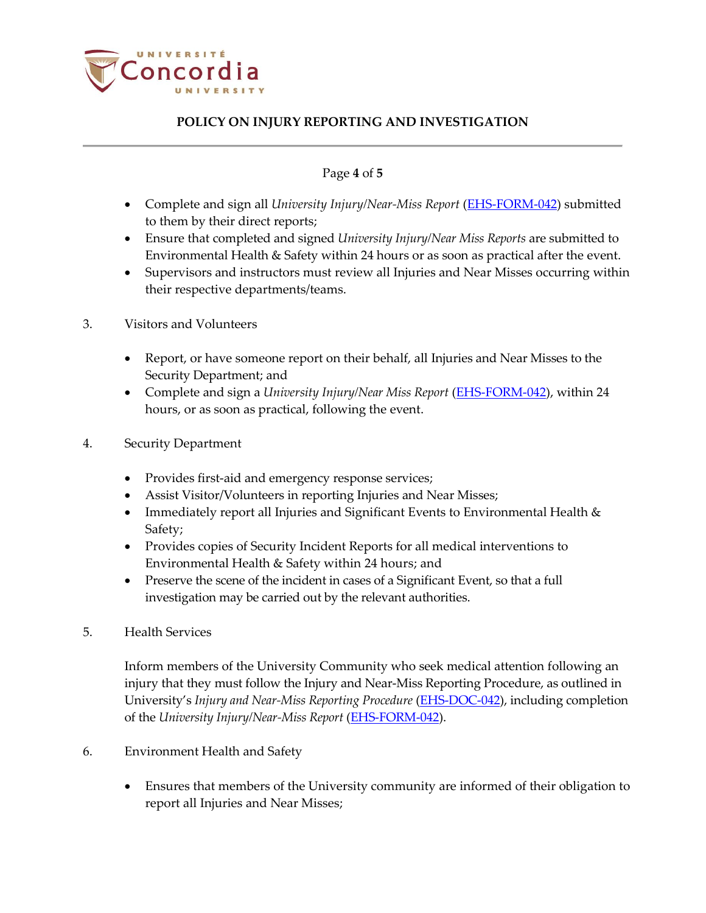

### Page **4** of **5**

- Complete and sign all *University Injury/Near-Miss Report* [\(EHS-FORM-042\)](http://www.concordia.ca/content/dam/concordia/services/safety/docs/EHS-DOC-042-Procedure_for_Injury_Near-MissReporting.pdf) submitted to them by their direct reports;
- Ensure that completed and signed *University Injury/Near Miss Reports* are submitted to Environmental Health & Safety within 24 hours or as soon as practical after the event.
- Supervisors and instructors must review all Injuries and Near Misses occurring within their respective departments/teams.
- 3. Visitors and Volunteers
	- Report, or have someone report on their behalf, all Injuries and Near Misses to the Security Department; and
	- Complete and sign a *University Injury/Near Miss Report* [\(EHS-FORM-042\)](http://www.concordia.ca/content/dam/concordia/services/safety/docs/EHS-DOC-042-Procedure_for_Injury_Near-MissReporting.pdf), within 24 hours, or as soon as practical, following the event.
- 4. Security Department
	- Provides first-aid and emergency response services;
	- Assist Visitor/Volunteers in reporting Injuries and Near Misses;
	- Immediately report all Injuries and Significant Events to Environmental Health & Safety;
	- Provides copies of Security Incident Reports for all medical interventions to Environmental Health & Safety within 24 hours; and
	- Preserve the scene of the incident in cases of a Significant Event, so that a full investigation may be carried out by the relevant authorities.
- 5. Health Services

Inform members of the University Community who seek medical attention following an injury that they must follow the Injury and Near-Miss Reporting Procedure, as outlined in University's *Injury and Near-Miss Reporting Procedure* [\(EHS-DOC-042\)](http://www.concordia.ca/content/dam/concordia/services/safety/docs/EHS-DOC-042-Procedure_for_Injury_Near-MissReporting.pdf), including completion of the *University Injury/Near-Miss Report* [\(EHS-FORM-042\)](http://www.concordia.ca/content/dam/concordia/services/safety/docs/EHS-DOC-042-Procedure_for_Injury_Near-MissReporting.pdf).

- 6. Environment Health and Safety
	- Ensures that members of the University community are informed of their obligation to report all Injuries and Near Misses;